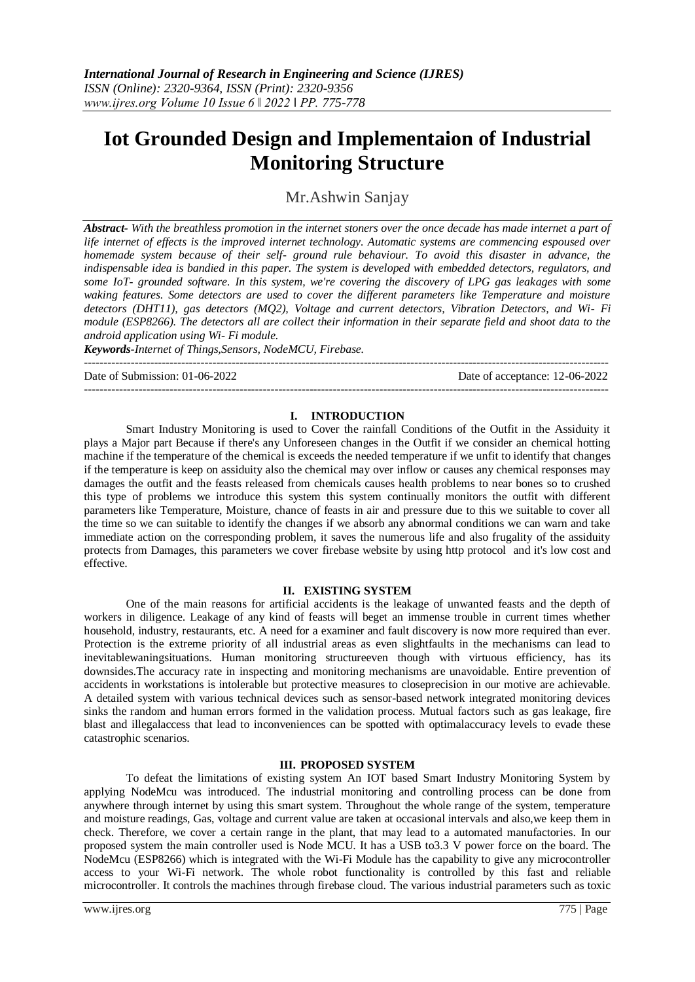# **Iot Grounded Design and Implementaion of Industrial Monitoring Structure**

Mr.Ashwin Sanjay

*Abstract- With the breathless promotion in the internet stoners over the once decade has made internet a part of life internet of effects is the improved internet technology. Automatic systems are commencing espoused over homemade system because of their self- ground rule behaviour. To avoid this disaster in advance, the indispensable idea is bandied in this paper. The system is developed with embedded detectors, regulators, and some IoT- grounded software. In this system, we're covering the discovery of LPG gas leakages with some waking features. Some detectors are used to cover the different parameters like Temperature and moisture detectors (DHT11), gas detectors (MQ2), Voltage and current detectors, Vibration Detectors, and Wi- Fi module (ESP8266). The detectors all are collect their information in their separate field and shoot data to the android application using Wi- Fi module.* 

*Keywords-Internet of Things,Sensors, NodeMCU, Firebase.*

---------------------------------------------------------------------------------------------------------------------------------------

Date of Submission: 01-06-2022 Date of acceptance: 12-06-2022

# **I. INTRODUCTION**

---------------------------------------------------------------------------------------------------------------------------------------

Smart Industry Monitoring is used to Cover the rainfall Conditions of the Outfit in the Assiduity it plays a Major part Because if there's any Unforeseen changes in the Outfit if we consider an chemical hotting machine if the temperature of the chemical is exceeds the needed temperature if we unfit to identify that changes if the temperature is keep on assiduity also the chemical may over inflow or causes any chemical responses may damages the outfit and the feasts released from chemicals causes health problems to near bones so to crushed this type of problems we introduce this system this system continually monitors the outfit with different parameters like Temperature, Moisture, chance of feasts in air and pressure due to this we suitable to cover all the time so we can suitable to identify the changes if we absorb any abnormal conditions we can warn and take immediate action on the corresponding problem, it saves the numerous life and also frugality of the assiduity protects from Damages, this parameters we cover firebase website by using http protocol and it's low cost and effective.

# **II. EXISTING SYSTEM**

One of the main reasons for artificial accidents is the leakage of unwanted feasts and the depth of workers in diligence. Leakage of any kind of feasts will beget an immense trouble in current times whether household, industry, restaurants, etc. A need for a examiner and fault discovery is now more required than ever. Protection is the extreme priority of all industrial areas as even slightfaults in the mechanisms can lead to inevitablewaningsituations. Human monitoring structureeven though with virtuous efficiency, has its downsides.The accuracy rate in inspecting and monitoring mechanisms are unavoidable. Entire prevention of accidents in workstations is intolerable but protective measures to closeprecision in our motive are achievable. A detailed system with various technical devices such as sensor-based network integrated monitoring devices sinks the random and human errors formed in the validation process. Mutual factors such as gas leakage, fire blast and illegalaccess that lead to inconveniences can be spotted with optimalaccuracy levels to evade these catastrophic scenarios.

# **III. PROPOSED SYSTEM**

To defeat the limitations of existing system An IOT based Smart Industry Monitoring System by applying NodeMcu was introduced. The industrial monitoring and controlling process can be done from anywhere through internet by using this smart system. Throughout the whole range of the system, temperature and moisture readings, Gas, voltage and current value are taken at occasional intervals and also,we keep them in check. Therefore, we cover a certain range in the plant, that may lead to a automated manufactories. In our proposed system the main controller used is Node MCU. It has a USB to3.3 V power force on the board. The NodeMcu (ESP8266) which is integrated with the Wi-Fi Module has the capability to give any microcontroller access to your Wi-Fi network. The whole robot functionality is controlled by this fast and reliable microcontroller. It controls the machines through firebase cloud. The various industrial parameters such as toxic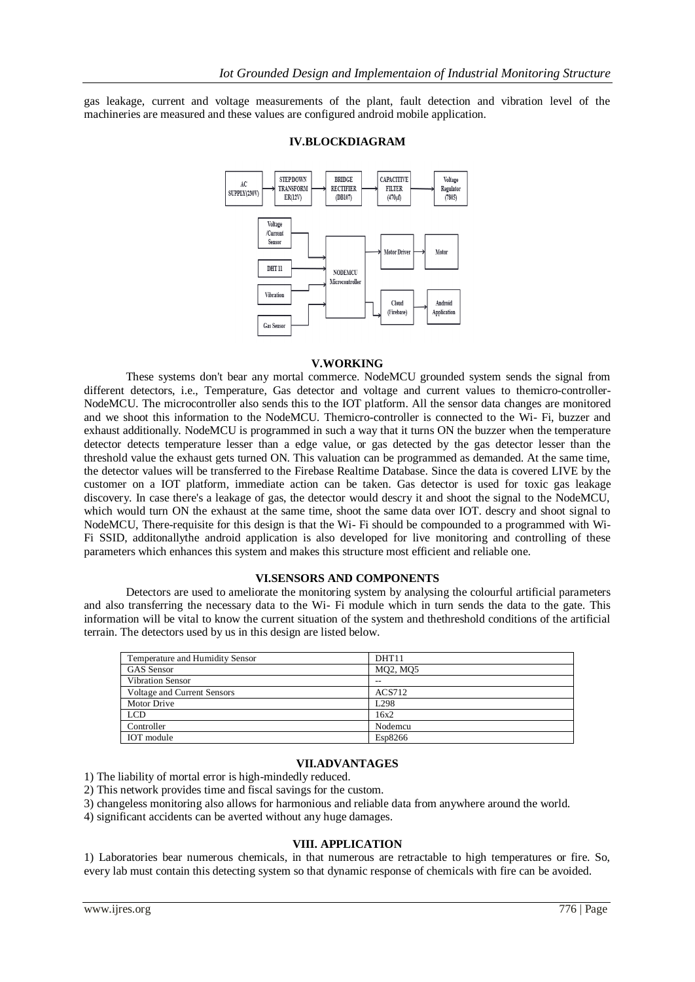gas leakage, current and voltage measurements of the plant, fault detection and vibration level of the machineries are measured and these values are configured android mobile application.



# **IV.BLOCKDIAGRAM**

# **V.WORKING**

These systems don't bear any mortal commerce. NodeMCU grounded system sends the signal from different detectors, i.e., Temperature, Gas detector and voltage and current values to themicro-controller-NodeMCU. The microcontroller also sends this to the IOT platform. All the sensor data changes are monitored and we shoot this information to the NodeMCU. Themicro-controller is connected to the Wi- Fi, buzzer and exhaust additionally. NodeMCU is programmed in such a way that it turns ON the buzzer when the temperature detector detects temperature lesser than a edge value, or gas detected by the gas detector lesser than the threshold value the exhaust gets turned ON. This valuation can be programmed as demanded. At the same time, the detector values will be transferred to the Firebase Realtime Database. Since the data is covered LIVE by the customer on a IOT platform, immediate action can be taken. Gas detector is used for toxic gas leakage discovery. In case there's a leakage of gas, the detector would descry it and shoot the signal to the NodeMCU, which would turn ON the exhaust at the same time, shoot the same data over IOT. descry and shoot signal to NodeMCU, There-requisite for this design is that the Wi- Fi should be compounded to a programmed with Wi-Fi SSID, additonallythe android application is also developed for live monitoring and controlling of these parameters which enhances this system and makes this structure most efficient and reliable one.

#### **VI.SENSORS AND COMPONENTS**

Detectors are used to ameliorate the monitoring system by analysing the colourful artificial parameters and also transferring the necessary data to the Wi- Fi module which in turn sends the data to the gate. This information will be vital to know the current situation of the system and thethreshold conditions of the artificial terrain. The detectors used by us in this design are listed below.

| DHT <sub>11</sub> |
|-------------------|
| MQ2, MQ5          |
| $-$               |
| ACS712            |
| L <sub>298</sub>  |
| 16x2              |
| Nodemcu           |
| Esp8266           |
|                   |

# **VII.ADVANTAGES**

1) The liability of mortal error is high-mindedly reduced.

- 2) This network provides time and fiscal savings for the custom.
- 3) changeless monitoring also allows for harmonious and reliable data from anywhere around the world.
- 4) significant accidents can be averted without any huge damages.

#### **VIII. APPLICATION**

1) Laboratories bear numerous chemicals, in that numerous are retractable to high temperatures or fire. So, every lab must contain this detecting system so that dynamic response of chemicals with fire can be avoided.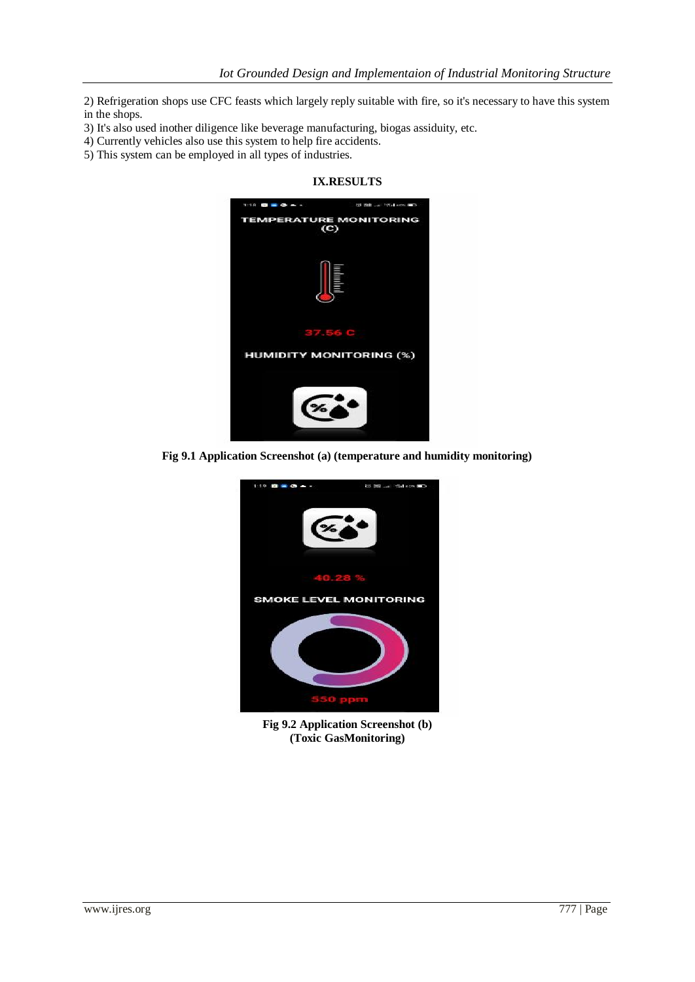2) Refrigeration shops use CFC feasts which largely reply suitable with fire, so it's necessary to have this system in the shops.

**IX.RESULTS**

- 3) It's also used inother diligence like beverage manufacturing, biogas assiduity, etc.
- 4) Currently vehicles also use this system to help fire accidents.
- 5) This system can be employed in all types of industries.

# $\mathbf{a}$  =  $\mathbf{a}$ **10 100 unit** .<br>Walioz **EMPERATURE MONITORING**  $(C)$ **HUMIDITY MONITORING (%)**

**Fig 9.1 Application Screenshot (a) (temperature and humidity monitoring)**



**Fig 9.2 Application Screenshot (b) (Toxic GasMonitoring)**